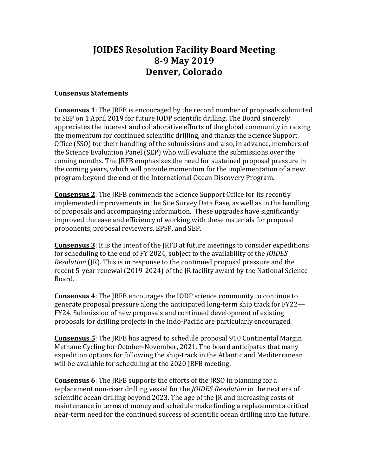## **JOIDES Resolution Facility Board Meeting 8-9 May 2019 Denver, Colorado**

## **Consensus Statements**

**Consensus 1:** The JRFB is encouraged by the record number of proposals submitted to SEP on 1 April 2019 for future IODP scientific drilling. The Board sincerely appreciates the interest and collaborative efforts of the global community in raising the momentum for continued scientific drilling, and thanks the Science Support Office (SSO) for their handling of the submissions and also, in advance, members of the Science Evaluation Panel (SEP) who will evaluate the submissions over the coming months. The JRFB emphasizes the need for sustained proposal pressure in the coming years, which will provide momentum for the implementation of a new program beyond the end of the International Ocean Discovery Program.

**Consensus 2:** The JRFB commends the Science Support Office for its recently implemented improvements in the Site Survey Data Base, as well as in the handling of proposals and accompanying information. These upgrades have significantly improved the ease and efficiency of working with these materials for proposal proponents, proposal reviewers, EPSP, and SEP.

**Consensus 3**: It is the intent of the JRFB at future meetings to consider expeditions for scheduling to the end of FY 2024, subject to the availability of the *JOIDES Resolution* (JR). This is in response to the continued proposal pressure and the recent 5-year renewal (2019-2024) of the JR facility award by the National Science Board. 

**Consensus 4:** The JRFB encourages the IODP science community to continue to generate proposal pressure along the anticipated long-term ship track for  $FY22$ — FY24. Submission of new proposals and continued development of existing proposals for drilling projects in the Indo-Pacific are particularly encouraged.

**Consensus 5:** The JRFB has agreed to schedule proposal 910 Continental Margin Methane Cycling for October-November, 2021. The board anticipates that many expedition options for following the ship-track in the Atlantic and Mediterranean will be available for scheduling at the 2020 JRFB meeting.

**Consensus 6:** The JRFB supports the efforts of the JRSO in planning for a replacement non-riser drilling vessel for the *JOIDES Resolution* in the next era of scientific ocean drilling beyond 2023. The age of the JR and increasing costs of maintenance in terms of money and schedule make finding a replacement a critical near-term need for the continued success of scientific ocean drilling into the future.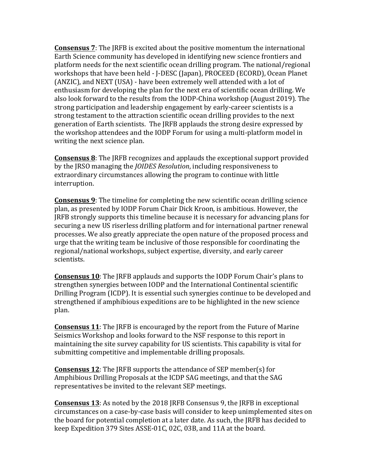**Consensus** 7: The JRFB is excited about the positive momentum the international Earth Science community has developed in identifying new science frontiers and platform needs for the next scientific ocean drilling program. The national/regional workshops that have been held - J-DESC (Japan), PROCEED (ECORD), Ocean Planet (ANZIC), and NEXT (USA) - have been extremely well attended with a lot of enthusiasm for developing the plan for the next era of scientific ocean drilling. We also look forward to the results from the IODP-China workshop (August 2019). The strong participation and leadership engagement by early-career scientists is a strong testament to the attraction scientific ocean drilling provides to the next generation of Earth scientists. The JRFB applauds the strong desire expressed by the workshop attendees and the IODP Forum for using a multi-platform model in writing the next science plan.

**Consensus 8:** The JRFB recognizes and applauds the exceptional support provided by the JRSO managing the *JOIDES Resolution*, including responsiveness to extraordinary circumstances allowing the program to continue with little interruption.

**Consensus 9**: The timeline for completing the new scientific ocean drilling science plan, as presented by IODP Forum Chair Dick Kroon, is ambitious. However, the **JRFB** strongly supports this timeline because it is necessary for advancing plans for securing a new US riserless drilling platform and for international partner renewal processes. We also greatly appreciate the open nature of the proposed process and urge that the writing team be inclusive of those responsible for coordinating the regional/national workshops, subject expertise, diversity, and early career scientists.

**Consensus 10:** The JRFB applauds and supports the IODP Forum Chair's plans to strengthen synergies between IODP and the International Continental scientific Drilling Program (ICDP). It is essential such synergies continue to be developed and strengthened if amphibious expeditions are to be highlighted in the new science plan.

**Consensus 11**: The JRFB is encouraged by the report from the Future of Marine Seismics Workshop and looks forward to the NSF response to this report in maintaining the site survey capability for US scientists. This capability is vital for submitting competitive and implementable drilling proposals.

**Consensus 12:** The JRFB supports the attendance of SEP member(s) for Amphibious Drilling Proposals at the ICDP SAG meetings, and that the SAG representatives be invited to the relevant SEP meetings.

**Consensus 13**: As noted by the 2018 JRFB Consensus 9, the JRFB in exceptional circumstances on a case-by-case basis will consider to keep unimplemented sites on the board for potential completion at a later date. As such, the JRFB has decided to keep Expedition 379 Sites ASSE-01C, 02C, 03B, and 11A at the board.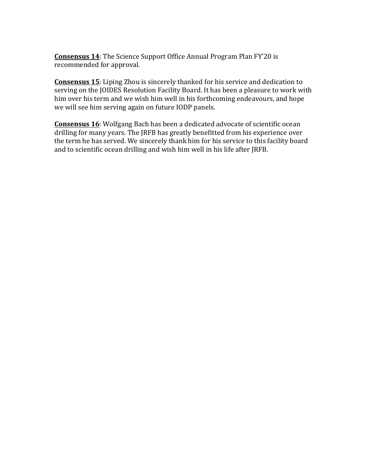**Consensus 14:** The Science Support Office Annual Program Plan FY'20 is recommended for approval.

**Consensus 15**: Liping Zhou is sincerely thanked for his service and dedication to serving on the JOIDES Resolution Facility Board. It has been a pleasure to work with him over his term and we wish him well in his forthcoming endeavours, and hope we will see him serving again on future IODP panels.

**Consensus 16**: Wolfgang Bach has been a dedicated advocate of scientific ocean drilling for many years. The JRFB has greatly benefitted from his experience over the term he has served. We sincerely thank him for his service to this facility board and to scientific ocean drilling and wish him well in his life after JRFB.